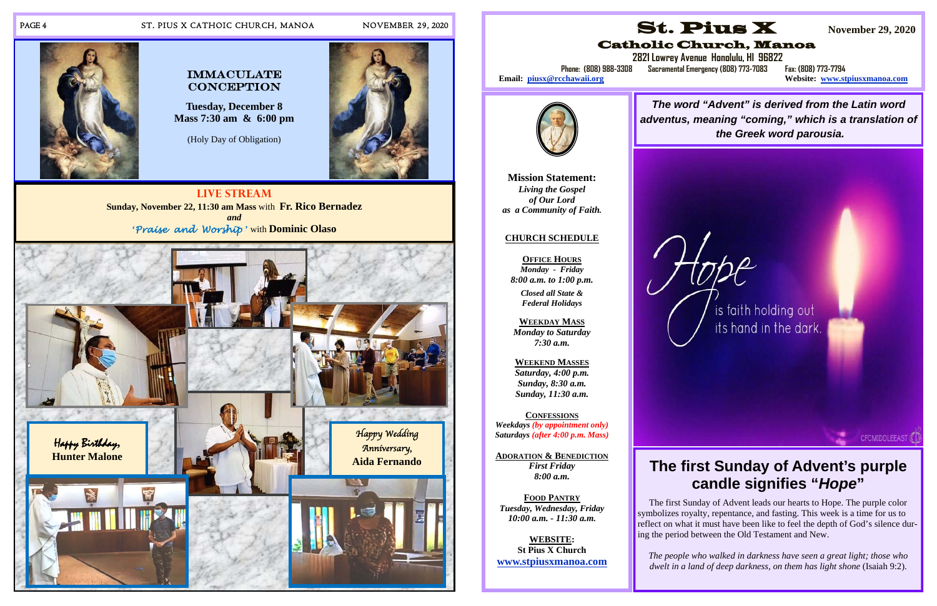## PAGE 4 ST. PIUS X CATHOIC CHURCH, MANOA NOVEMBER 29, 2020

**Live Stream Sunday, November 22, 11:30 am Mass** with **Fr. Rico Bernadez** *and* **'***Praise and Worship* **'** with **Dominic Olaso**



# $\bf CONCEPTION$

**Tuesday, December 8 Mass 7:30 am & 6:00 pm** 

(Holy Day of Obligation)





# Email: piusx@rcchawaii.org



**Mission Statement:**  *Living the Gospel of Our Lord as a Community of Faith.* 

## **CHURCH SCHEDULE**

**OFFICE HOURS** *Monday - Friday 8:00 a.m. to 1:00 p.m.* 

*Closed all State & Federal Holidays* 

**WEEKDAY MASS**  *Monday to Saturday 7:30 a.m.* 

**WEEKEND MASSES**  *Saturday, 4:00 p.m. Sunday, 8:30 a.m. Sunday, 11:30 a.m.* 

**CONFESSIONS***Weekdays (by appointment only) Saturdays (after 4:00 p.m. Mass)* 

**ADORATION & BENEDICTION** *First Friday 8:00 a.m.* 

**FOOD PANTRY***Tuesday, Wednesday, Friday 10:00 a.m. - 11:30 a.m.* 

**WEBSITE: St Pius X Church www.stpiusxmanoa.com** 



# Catholic Church, Manoa

 **2821 Lowrey Avenue Honolulu, HI 96822 Phone: (808) 988-3308 Sacramental Emergency (808) 773-7083 Fax: (808) 773-7794** 

**Website: www.stpiusxmanoa.com** 

# **The first Sunday of Advent's purple candle signifies "***Hope***"**

CFCMIDDLEEAST

 The first Sunday of Advent leads our hearts to Hope. The purple color symbolizes royalty, repentance, and fasting. This week is a time for us to reflect on what it must have been like to feel the depth of God's silence during the period between the Old Testament and New.

*The people who walked in darkness have seen a great light; those who dwelt in a land of deep darkness, on them has light shone* (Isaiah 9:2).

*The word "Advent" is derived from the Latin word adventus, meaning "coming," which is a translation of the Greek word parousia.*